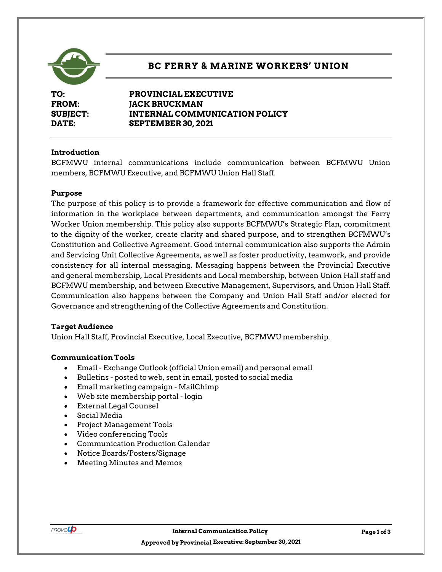

# **BC FERRY & MARINE WORKERS' UNION**

**TO: PROVINCIAL EXECUTIVE FROM: JACK BRUCKMAN SUBJECT: INTERNAL COMMUNICATION POLICY DATE: SEPTEMBER 30, 2021**

## **Introduction**

BCFMWU internal communications include communication between BCFMWU Union members, BCFMWU Executive, and BCFMWU Union Hall Staff.

#### **Purpose**

The purpose of this policy is to provide a framework for effective communication and flow of information in the workplace between departments, and communication amongst the Ferry Worker Union membership. This policy also supports BCFMWU's Strategic Plan, commitment to the dignity of the worker, create clarity and shared purpose, and to strengthen BCFMWU's Constitution and Collective Agreement. Good internal communication also supports the Admin and Servicing Unit Collective Agreements, as well as foster productivity, teamwork, and provide consistency for all internal messaging. Messaging happens between the Provincial Executive and general membership, Local Presidents and Local membership, between Union Hall staff and BCFMWU membership, and between Executive Management, Supervisors, and Union Hall Staff. Communication also happens between the Company and Union Hall Staff and/or elected for Governance and strengthening of the Collective Agreements and Constitution.

#### **Target Audience**

Union Hall Staff, Provincial Executive, Local Executive, BCFMWU membership.

#### **Communication Tools**

- Email Exchange Outlook (official Union email) and personal email
- Bulletins posted to web, sent in email, posted to social media
- Email marketing campaign MailChimp
- Web site membership portal login
- External Legal Counsel
- Social Media
- Project Management Tools
- Video conferencing Tools
- Communication Production Calendar
- Notice Boards/Posters/Signage
- Meeting Minutes and Memos

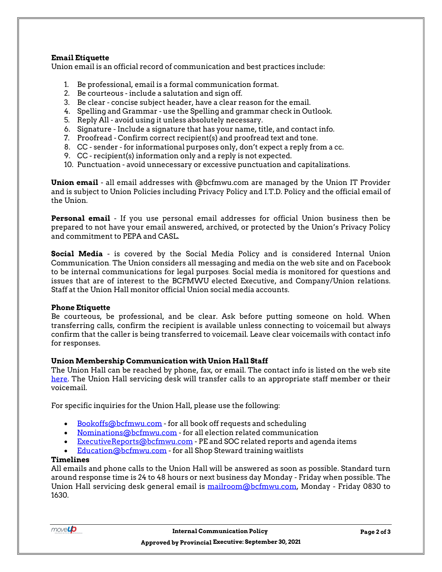## **Email Etiquette**

Union email is an official record of communication and best practices include:

- 1. Be professional, email is a formal communication format.
- 2. Be courteous include a salutation and sign off.
- 3. Be clear concise subject header, have a clear reason for the email.
- 4. Spelling and Grammar use the Spelling and grammar check in Outlook.
- 5. Reply All avoid using it unless absolutely necessary.
- 6. Signature Include a signature that has your name, title, and contact info.
- 7. Proofread Confirm correct recipient(s) and proofread text and tone.
- 8. CC sender for informational purposes only, don't expect a reply from a cc.
- 9. CC recipient(s) information only and a reply is not expected.
- 10. Punctuation avoid unnecessary or excessive punctuation and capitalizations.

**Union email** - all email addresses with @bcfmwu.com are managed by the Union IT Provider and is subject to Union Policies including Privacy Policy and I.T.D. Policy and the official email of the Union.

**Personal email** - If you use personal email addresses for official Union business then be prepared to not have your email answered, archived, or protected by the Union's Privacy Policy and commitment to PEPA and CASL.

**Social Media** - is covered by the Social Media Policy and is considered Internal Union Communication. The Union considers all messaging and media on the web site and on Facebook to be internal communications for legal purposes. Social media is monitored for questions and issues that are of interest to the BCFMWU elected Executive, and Company/Union relations. Staff at the Union Hall monitor official Union social media accounts.

#### **Phone Etiquette**

Be courteous, be professional, and be clear. Ask before putting someone on hold. When transferring calls, confirm the recipient is available unless connecting to voicemail but always confirm that the caller is being transferred to voicemail. Leave clear voicemails with contact info for responses.

#### **Union Membership Communication with Union Hall Staff**

The Union Hall can be reached by phone, fax, or email. The contact info is listed on the web site [here.](https://www.bcfmwu.com/contact/) The Union Hall servicing desk will transfer calls to an appropriate staff member or their voicemail.

For specific inquiries for the Union Hall, please use the following:

- [Bookoffs@bcfmwu.com](mailto:Bookoffs@bcfmwu.com) for all book off requests and scheduling
- [Nominations@bcfmwu.com](mailto:Nominations@bcfmwu.com) for all election related communication
- [ExecutiveReports@bcfmwu.com](mailto:ExecutiveReports@bcfmwu.com) PE and SOC related reports and agenda items
- [Education@bcfmwu.com](mailto:Education@bcfmwu.com) for all Shop Steward training waitlists

#### **Timelines**

All emails and phone calls to the Union Hall will be answered as soon as possible. Standard turn around response time is 24 to 48 hours or next business day Monday - Friday when possible. The Union Hall servicing desk general email is [mailroom@bcfmwu.com,](mailto:mailroom@bcfmwu.com) Monday - Friday 0830 to 1630.